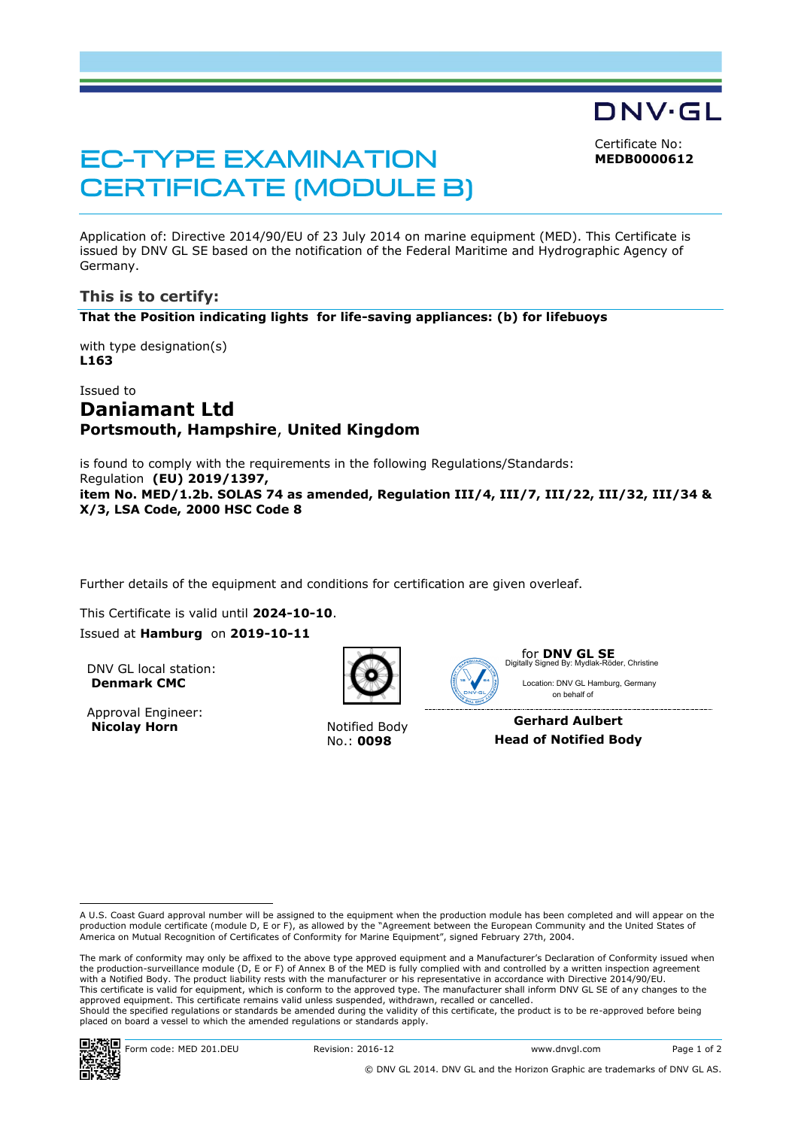Certificate No: **MEDB0000612**

DNV·GL

# **EC-TYPE EXAMINATION CERTIFICATE (MODULE B)**

Application of: Directive 2014/90/EU of 23 July 2014 on marine equipment (MED). This Certificate is issued by DNV GL SE based on the notification of the Federal Maritime and Hydrographic Agency of Germany.

### **This is to certify:**

**That the Position indicating lights for life-saving appliances: (b) for lifebuoys**

with type designation(s) **L163**

## Issued to **Daniamant Ltd Portsmouth, Hampshire**, **United Kingdom**

is found to comply with the requirements in the following Regulations/Standards: Regulation **(EU) 2019/1397, item No. MED/1.2b. SOLAS 74 as amended, Regulation III/4, III/7, III/22, III/32, III/34 & X/3, LSA Code, 2000 HSC Code 8**

Further details of the equipment and conditions for certification are given overleaf.

This Certificate is valid until **2024-10-10**.

Issued at **Hamburg** on **2019-10-11**

DNV GL local station: **Denmark CMC**

Approval Engineer: **Nicolay Horn** Notified Body



No.: **0098**



for **DNV GL SE** Digitally Signed By: Mydlak-Röder, ChristineLocation: DNV GL Hamburg, Germany on behalf of

**Gerhard Aulbert Head of Notified Body**

Ĭ

A U.S. Coast Guard approval number will be assigned to the equipment when the production module has been completed and will appear on the<br>production module certificate (module D, E or F), as allowed by the "Agreement betwe

The mark of conformity may only be affixed to the above type approved equipment and a Manufacturer's Declaration of Conformity issued when the production-surveillance module (D, E or F) of Annex B of the MED is fully complied with and controlled by a written inspection agreement with a Notified Body. The product liability rests with the manufacturer or his representative in accordance with Directive 2014/90/EU. This certificate is valid for equipment, which is conform to the approved type. The manufacturer shall inform DNV GL SE of any changes to the approved equipment. This certificate remains valid unless suspended, withdrawn, recalled or cancelled. Should the specified regulations or standards be amended during the validity of this certificate, the product is to be re-approved before being placed on board a vessel to which the amended regulations or standards apply.

ı